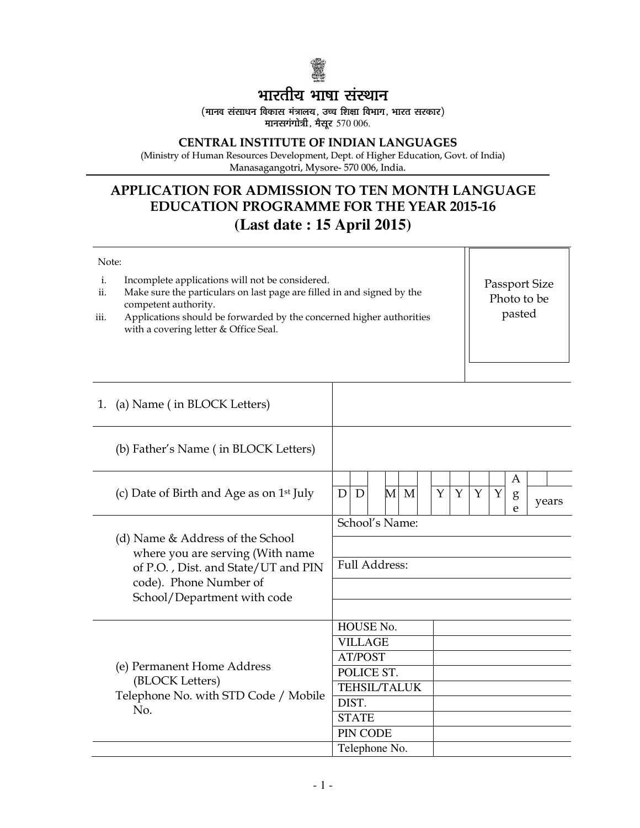

# भारतीय भाषा संस्थान

(मानव संसाधन विकास मंत्रालय, उच्च शिक्षा विभाग, भारत सरकार) मानसगंगोत्री, मैसर  $570006$ .

## CENTRAL INSTITUTE OF INDIAN LANGUAGES

(Ministry of Human Resources Development, Dept. of Higher Education, Govt. of India) Manasagangotri, Mysore- 570 006, India.

# APPLICATION FOR ADMISSION TO TEN MONTH LANGUAGE EDUCATION PROGRAMME FOR THE YEAR 2015-16 **(Last date : 15 April 2015)**

## Note: i. Incomplete applications will not be considered.<br>ii. Make sure the particulars on last page are filled Make sure the particulars on last page are filled in and signed by the competent authority. iii. Applications should be forwarded by the concerned higher authorities with a covering letter & Office Seal. 1. (a) Name ( in BLOCK Letters) (b) Father's Name ( in BLOCK Letters) (c) Date of Birth and Age as on 1st July A g e  $D|D|$  M M Y Y Y Y years (d) Name & Address of the School where you are serving (With name of P.O. , Dist. and State/UT and PIN code). Phone Number of School/Department with code School's Name: Full Address: (e) Permanent Home Address (BLOCK Letters) Telephone No. with STD Code / Mobile No. HOUSE No. VILLAGE AT/POST POLICE ST. TEHSIL/TALUK DIST. **STATE** PIN CODE Passport Size Photo to be pasted

Telephone No.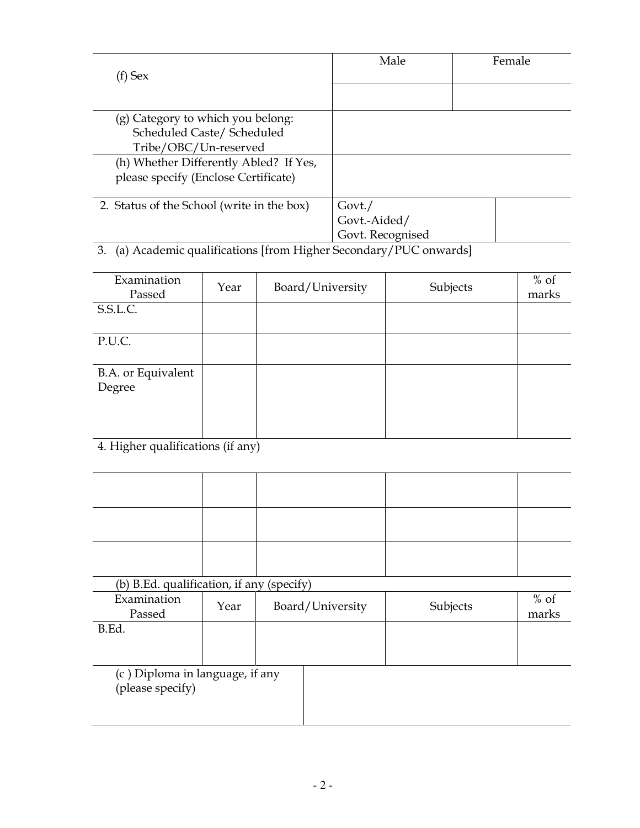| (f) Sex                                                                                                                                                                                                                                                                                                                                                                                                                                                                                                                       | Male                   | Female |
|-------------------------------------------------------------------------------------------------------------------------------------------------------------------------------------------------------------------------------------------------------------------------------------------------------------------------------------------------------------------------------------------------------------------------------------------------------------------------------------------------------------------------------|------------------------|--------|
|                                                                                                                                                                                                                                                                                                                                                                                                                                                                                                                               |                        |        |
| (g) Category to which you belong:                                                                                                                                                                                                                                                                                                                                                                                                                                                                                             |                        |        |
| Scheduled Caste/ Scheduled                                                                                                                                                                                                                                                                                                                                                                                                                                                                                                    |                        |        |
| Tribe/OBC/Un-reserved                                                                                                                                                                                                                                                                                                                                                                                                                                                                                                         |                        |        |
| (h) Whether Differently Abled? If Yes,                                                                                                                                                                                                                                                                                                                                                                                                                                                                                        |                        |        |
| please specify (Enclose Certificate)                                                                                                                                                                                                                                                                                                                                                                                                                                                                                          |                        |        |
|                                                                                                                                                                                                                                                                                                                                                                                                                                                                                                                               |                        |        |
| 2. Status of the School (write in the box)                                                                                                                                                                                                                                                                                                                                                                                                                                                                                    | Govt.                  |        |
|                                                                                                                                                                                                                                                                                                                                                                                                                                                                                                                               | Govt.-Aided/           |        |
|                                                                                                                                                                                                                                                                                                                                                                                                                                                                                                                               | Govt. Recognised       |        |
| r c<br>$\bullet$<br>$1 \cdot C$<br>$T T$ $T$ $T$ $T$<br>$\begin{array}{ccccccccccccccccc}\n\multicolumn{4}{c}\n\multicolumn{4}{c}\n\multicolumn{4}{c}\n\multicolumn{4}{c}\n\multicolumn{4}{c}\n\multicolumn{4}{c}\n\multicolumn{4}{c}\n\multicolumn{4}{c}\n\multicolumn{4}{c}\n\multicolumn{4}{c}\n\multicolumn{4}{c}\n\multicolumn{4}{c}\n\multicolumn{4}{c}\n\multicolumn{4}{c}\n\multicolumn{4}{c}\n\multicolumn{4}{c}\n\multicolumn{4}{c}\n\multicolumn{4}{c}\n\multicolumn{4}{c}\n\multicolumn{4}{c}\n\multicolumn{4}{c$ | $\sim$ 1<br>$\sqrt{N}$ |        |

3. (a) Academic qualifications [from Higher Secondary/PUC onwards]

| Examination<br>Passed | Year | Board/University | Subjects | $%$ of<br>marks |
|-----------------------|------|------------------|----------|-----------------|
| S.S.L.C.              |      |                  |          |                 |
| P.U.C.                |      |                  |          |                 |
| B.A. or Equivalent    |      |                  |          |                 |
| Degree                |      |                  |          |                 |
|                       |      |                  |          |                 |
|                       |      |                  |          |                 |

4. Higher qualifications (if any)

| (b) B.Ed. qualification, if any (specify) |  |  |
|-------------------------------------------|--|--|

| 1 U L<br>D. La. Gaanneauvit, n anv |      | 19DCCH V         |          |                 |
|------------------------------------|------|------------------|----------|-----------------|
| Examination<br>Passed              | Year | Board/University | Subjects | $%$ of<br>marks |
| B.Ed.                              |      |                  |          |                 |

(c ) Diploma in language, if any (please specify)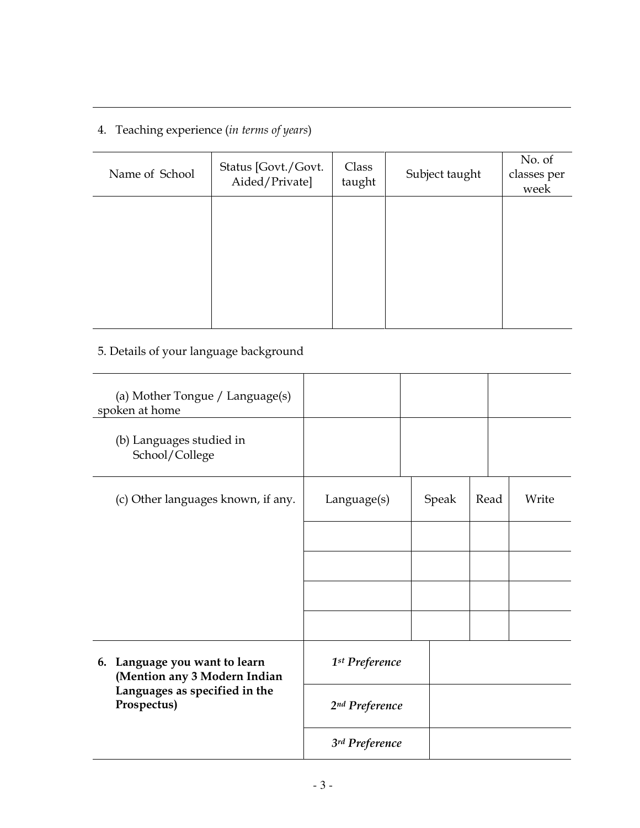4. Teaching experience (in terms of years)

| Name of School | Status [Govt./Govt.<br>Aided/Private] | Class<br>taught | Subject taught | No. of<br>classes per<br>week |
|----------------|---------------------------------------|-----------------|----------------|-------------------------------|
|                |                                       |                 |                |                               |
|                |                                       |                 |                |                               |
|                |                                       |                 |                |                               |

# 5. Details of your language background

| (a) Mother Tongue / Language(s)<br>spoken at home             |                            |       |      |       |
|---------------------------------------------------------------|----------------------------|-------|------|-------|
| (b) Languages studied in<br>School/College                    |                            |       |      |       |
| (c) Other languages known, if any.                            | Language(s)                | Speak | Read | Write |
|                                                               |                            |       |      |       |
|                                                               |                            |       |      |       |
|                                                               |                            |       |      |       |
|                                                               |                            |       |      |       |
| 6. Language you want to learn<br>(Mention any 3 Modern Indian | 1 <sup>st</sup> Preference |       |      |       |
| Languages as specified in the<br>Prospectus)                  | 2nd Preference             |       |      |       |
|                                                               | 3rd Preference             |       |      |       |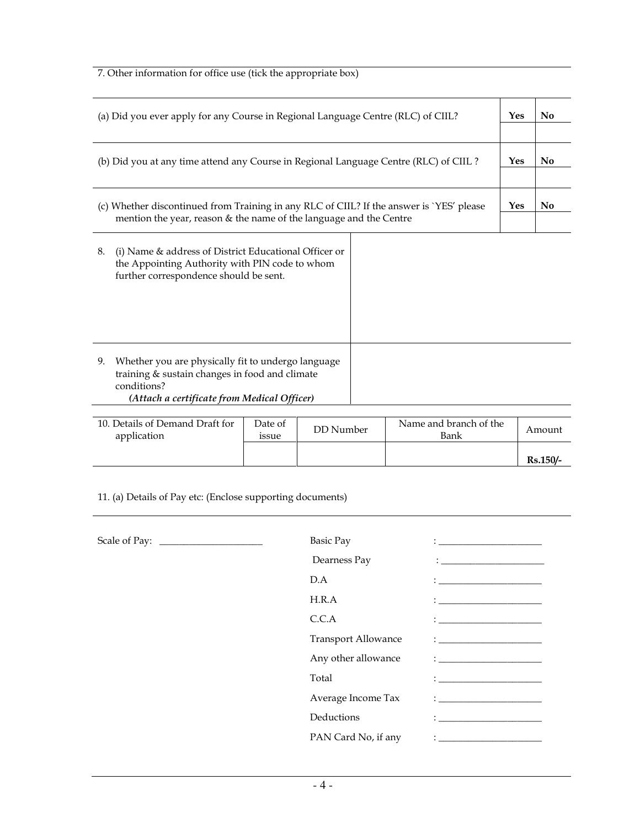7. Other information for office use (tick the appropriate box)

| (a) Did you ever apply for any Course in Regional Language Centre (RLC) of CIIL?                                                                                         |            | N <sub>0</sub> |
|--------------------------------------------------------------------------------------------------------------------------------------------------------------------------|------------|----------------|
|                                                                                                                                                                          |            |                |
| (b) Did you at any time attend any Course in Regional Language Centre (RLC) of CIIL?                                                                                     | Yes        | No             |
| (c) Whether discontinued from Training in any RLC of CIIL? If the answer is `YES' please                                                                                 | <b>Yes</b> | N <sub>0</sub> |
| mention the year, reason & the name of the language and the Centre                                                                                                       |            |                |
| 8.<br>(i) Name & address of District Educational Officer or<br>the Appointing Authority with PIN code to whom<br>further correspondence should be sent.                  |            |                |
| Whether you are physically fit to undergo language<br>9.<br>training & sustain changes in food and climate<br>conditions?<br>(Attach a certificate from Medical Officer) |            |                |

| (Attach a certificate from Medical Officer) |  |
|---------------------------------------------|--|
|---------------------------------------------|--|

| 10. Details of Demand Draft for<br>application | Date of<br><i>ssue</i> | DD Number | Name and branch of the<br>Bank | Amount          |
|------------------------------------------------|------------------------|-----------|--------------------------------|-----------------|
|                                                |                        |           |                                | <b>Rs.150/-</b> |

11. (a) Details of Pay etc: (Enclose supporting documents)

| Basic Pay                  | <u> 1980 - Jan Barbara Barbara, manazarta </u>                                                                                                                                                                                                                                                                                                                                                                                             |
|----------------------------|--------------------------------------------------------------------------------------------------------------------------------------------------------------------------------------------------------------------------------------------------------------------------------------------------------------------------------------------------------------------------------------------------------------------------------------------|
| Dearness Pay               |                                                                                                                                                                                                                                                                                                                                                                                                                                            |
| D.A                        |                                                                                                                                                                                                                                                                                                                                                                                                                                            |
| H.R.A                      |                                                                                                                                                                                                                                                                                                                                                                                                                                            |
| C.C.A                      | $\mathbf{1}_{\mathbf{1}_{\mathbf{1}_{\mathbf{1}}\mathbf{1}_{\mathbf{1}}\mathbf{1}_{\mathbf{1}}\mathbf{1}_{\mathbf{1}}\mathbf{1}_{\mathbf{1}}\mathbf{1}_{\mathbf{1}}\mathbf{1}_{\mathbf{1}}\mathbf{1}_{\mathbf{1}_{\mathbf{1}}\mathbf{1}_{\mathbf{1}}\mathbf{1}_{\mathbf{1}}\mathbf{1}_{\mathbf{1}}\mathbf{1}_{\mathbf{1}}\mathbf{1}_{\mathbf{1}}\mathbf{1}_{\mathbf{1}}\mathbf{1}_{\mathbf{1}}\mathbf{1}_{\mathbf{1}}\mathbf{1}_{\mathbf{$ |
| <b>Transport Allowance</b> | $\mathbf{1}_{\mathcal{A}}$ and the set of the set of the set of the set of the set of the set of the set of the set of the set of the set of the set of the set of the set of the set of the set of the set of the set of the set of the                                                                                                                                                                                                   |
| Any other allowance        | $\mathbf{1}$ and the set of the set of the set of the set of the set of the set of the set of the set of the set of the set of the set of the set of the set of the set of the set of the set of the set of the set of the set of                                                                                                                                                                                                          |
| Total                      | $\mathbf{1}_{\mathcal{A}}$ and the set of the set of the set of the set of the set of the set of the set of the set of the set of the set of the set of the set of the set of the set of the set of the set of the set of the set of the                                                                                                                                                                                                   |
| Average Income Tax         |                                                                                                                                                                                                                                                                                                                                                                                                                                            |
| Deductions                 | $\mathbf{1}_{\mathbf{1}_{\mathbf{1}_{\mathbf{1}}\mathbf{1}_{\mathbf{1}}\mathbf{1}_{\mathbf{1}}\mathbf{1}_{\mathbf{1}}\mathbf{1}_{\mathbf{1}}\mathbf{1}_{\mathbf{1}}\mathbf{1}_{\mathbf{1}}\mathbf{1}_{\mathbf{1}_{\mathbf{1}}\mathbf{1}_{\mathbf{1}}\mathbf{1}_{\mathbf{1}}\mathbf{1}_{\mathbf{1}}\mathbf{1}_{\mathbf{1}}\mathbf{1}_{\mathbf{1}}\mathbf{1}_{\mathbf{1}}\mathbf{1}_{\mathbf{1}}\mathbf{1}_{\mathbf{1}}\mathbf{1}_{\mathbf{$ |
| PAN Card No, if any        | $\mathbf{1}$ . The contract of the contract of the contract of the contract of the contract of the contract of the contract of the contract of the contract of the contract of the contract of the contract of the contract of th                                                                                                                                                                                                          |
|                            |                                                                                                                                                                                                                                                                                                                                                                                                                                            |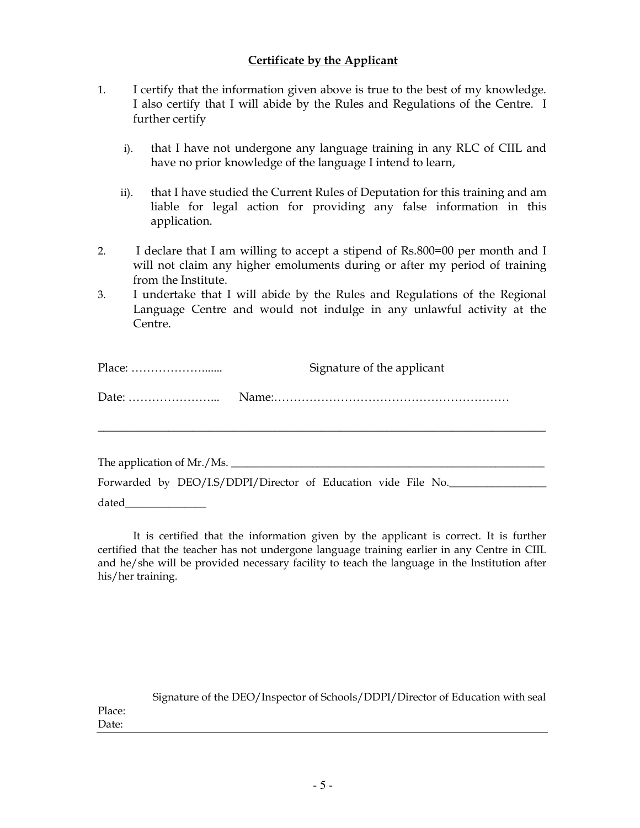# Certificate by the Applicant

- 1. I certify that the information given above is true to the best of my knowledge. I also certify that I will abide by the Rules and Regulations of the Centre. I further certify
	- i). that I have not undergone any language training in any RLC of CIIL and have no prior knowledge of the language I intend to learn,
	- ii). that I have studied the Current Rules of Deputation for this training and am liable for legal action for providing any false information in this application.
- 2. I declare that I am willing to accept a stipend of Rs.800=00 per month and I will not claim any higher emoluments during or after my period of training from the Institute.
- 3. I undertake that I will abide by the Rules and Regulations of the Regional Language Centre and would not indulge in any unlawful activity at the Centre.

| Signature of the applicant |
|----------------------------|
|                            |
|                            |

The application of Mr./Ms. Forwarded by DEO/I.S/DDPI/Director of Education vide File No.

dated **and** 

It is certified that the information given by the applicant is correct. It is further certified that the teacher has not undergone language training earlier in any Centre in CIIL and he/she will be provided necessary facility to teach the language in the Institution after his/her training.

|        | Signature of the DEO/Inspector of Schools/DDPI/Director of Education with seal |
|--------|--------------------------------------------------------------------------------|
| Place: |                                                                                |
| Date:  |                                                                                |